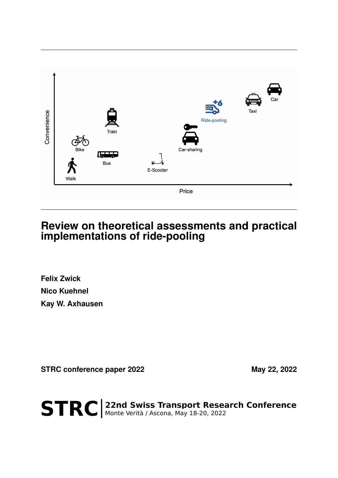

# **Review on theoretical assessments and practical implementations of ride-pooling**

**Felix Zwick Nico Kuehnel Kay W. Axhausen**

STRC conference paper 2022 May 22, 2022

STRC | 22nd Swiss Transport Research Conference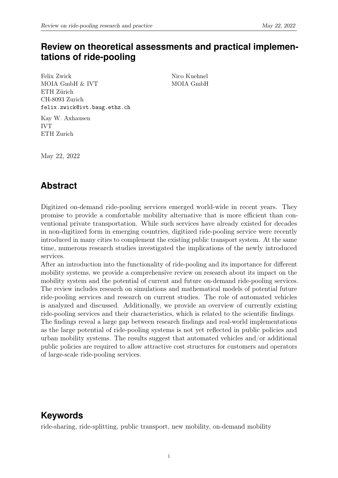# **Review on theoretical assessments and practical implementations of ride-pooling**

Felix Zwick MOIA GmbH & IVT ETH Zürich CH-8093 Zurich felix.zwick@ivt.baug.ethz.ch Nico Kuehnel MOIA GmbH

Kay W. Axhausen IVT ETH Zurich

May 22, 2022

# **Abstract**

Digitized on-demand ride-pooling services emerged world-wide in recent years. They promise to provide a comfortable mobility alternative that is more efficient than conventional private transportation. While such services have already existed for decades in non-digitized form in emerging countries, digitized ride-pooling service were recently introduced in many cities to complement the existing public transport system. At the same time, numerous research studies investigated the implications of the newly introduced services.

After an introduction into the functionality of ride-pooling and its importance for different mobility systems, we provide a comprehensive review on research about its impact on the mobility system and the potential of current and future on-demand ride-pooling services. The review includes research on simulations and mathematical models of potential future ride-pooling services and research on current studies. The role of automated vehicles is analyzed and discussed. Additionally, we provide an overview of currently existing ride-pooling services and their characteristics, which is related to the scientific findings. The findings reveal a large gap between research findings and real-world implementations as the large potential of ride-pooling systems is not yet reflected in public policies and urban mobility systems. The results suggest that automated vehicles and/or additional public policies are required to allow attractive cost structures for customers and operators of large-scale ride-pooling services.

# **Keywords**

ride-sharing, ride-splitting, public transport, new mobility, on-demand mobility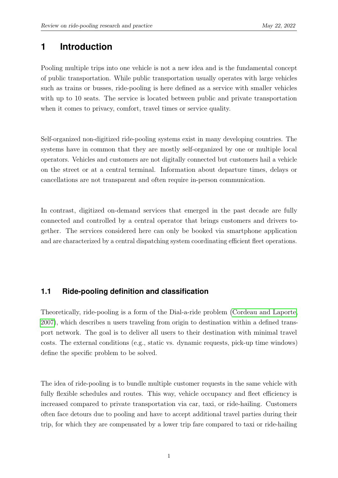## **1 Introduction**

Pooling multiple trips into one vehicle is not a new idea and is the fundamental concept of public transportation. While public transportation usually operates with large vehicles such as trains or busses, ride-pooling is here defined as a service with smaller vehicles with up to 10 seats. The service is located between public and private transportation when it comes to privacy, comfort, travel times or service quality.

Self-organized non-digitized ride-pooling systems exist in many developing countries. The systems have in common that they are mostly self-organized by one or multiple local operators. Vehicles and customers are not digitally connected but customers hail a vehicle on the street or at a central terminal. Information about departure times, delays or cancellations are not transparent and often require in-person communication.

In contrast, digitized on-demand services that emerged in the past decade are fully connected and controlled by a central operator that brings customers and drivers together. The services considered here can only be booked via smartphone application and are characterized by a central dispatching system coordinating efficient fleet operations.

### **1.1 Ride-pooling definition and classification**

Theoretically, ride-pooling is a form of the Dial-a-ride problem [\(Cordeau and Laporte,](#page-18-0) [2007\)](#page-18-0), which describes n users traveling from origin to destination within a defined transport network. The goal is to deliver all users to their destination with minimal travel costs. The external conditions (e.g., static vs. dynamic requests, pick-up time windows) define the specific problem to be solved.

The idea of ride-pooling is to bundle multiple customer requests in the same vehicle with fully flexible schedules and routes. This way, vehicle occupancy and fleet efficiency is increased compared to private transportation via car, taxi, or ride-hailing. Customers often face detours due to pooling and have to accept additional travel parties during their trip, for which they are compensated by a lower trip fare compared to taxi or ride-hailing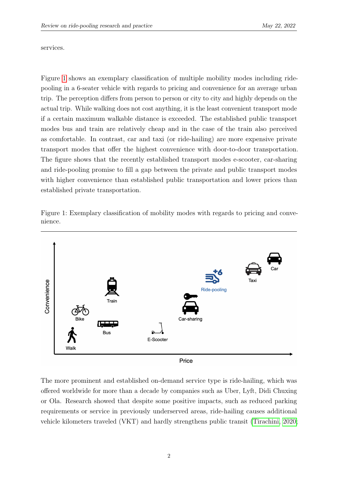services.

Figure [1](#page-3-0) shows an exemplary classification of multiple mobility modes including ridepooling in a 6-seater vehicle with regards to pricing and convenience for an average urban trip. The perception differs from person to person or city to city and highly depends on the actual trip. While walking does not cost anything, it is the least convenient transport mode if a certain maximum walkable distance is exceeded. The established public transport modes bus and train are relatively cheap and in the case of the train also perceived as comfortable. In contrast, car and taxi (or ride-hailing) are more expensive private transport modes that offer the highest convenience with door-to-door transportation. The figure shows that the recently established transport modes e-scooter, car-sharing and ride-pooling promise to fill a gap between the private and public transport modes with higher convenience than established public transportation and lower prices than established private transportation.

Figure 1: Exemplary classification of mobility modes with regards to pricing and convenience.

<span id="page-3-0"></span>

The more prominent and established on-demand service type is ride-hailing, which was offered worldwide for more than a decade by companies such as Uber, Lyft, Didi Chuxing or Ola. Research showed that despite some positive impacts, such as reduced parking requirements or service in previously underserved areas, ride-hailing causes additional vehicle kilometers traveled (VKT) and hardly strengthens public transit [\(Tirachini, 2020;](#page-22-0)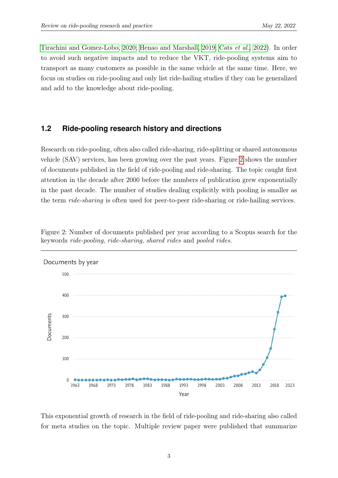[Tirachini and Gomez-Lobo, 2020;](#page-22-1) [Henao and Marshall, 2019;](#page-19-0) Cats [et al.](#page-17-0), [2022\)](#page-17-0). In order to avoid such negative impacts and to reduce the VKT, ride-pooling systems aim to transport as many customers as possible in the same vehicle at the same time. Here, we focus on studies on ride-pooling and only list ride-hailing studies if they can be generalized and add to the knowledge about ride-pooling.

#### **1.2 Ride-pooling research history and directions**

Research on ride-pooling, often also called ride-sharing, ride-splitting or shared autonomous vehicle (SAV) services, has been growing over the past years. Figure [2](#page-4-0) shows the number of documents published in the field of ride-pooling and ride-sharing. The topic caught first attention in the decade after 2000 before the numbers of publication grew exponentially in the past decade. The number of studies dealing explicitly with pooling is smaller as the term ride-sharing is often used for peer-to-peer ride-sharing or ride-hailing services.

<span id="page-4-0"></span>

Figure 2: Number of documents published per year according to a Scopus search for the keywords ride-pooling, ride-sharing, shared rides and pooled rides.

This exponential growth of research in the field of ride-pooling and ride-sharing also called for meta studies on the topic. Multiple review paper were published that summarize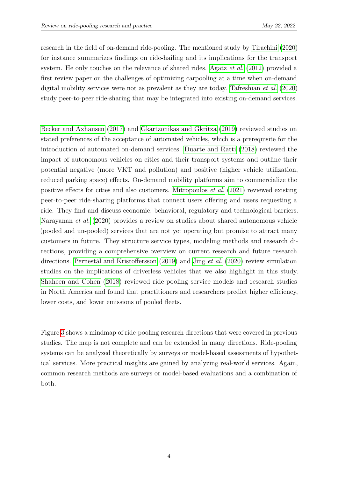research in the field of on-demand ride-pooling. The mentioned study by [Tirachini](#page-22-0) [\(2020\)](#page-22-0) for instance summarizes findings on ride-hailing and its implications for the transport system. He only touches on the relevance of shared rides. [Agatz](#page-17-1) *et al.* [\(2012\)](#page-17-1) provided a first review paper on the challenges of optimizing carpooling at a time when on-demand digital mobility services were not as prevalent as they are today. [Tafreshian](#page-22-2) et al. [\(2020\)](#page-22-2) study peer-to-peer ride-sharing that may be integrated into existing on-demand services.

[Becker and Axhausen](#page-17-2) [\(2017\)](#page-17-2) and [Gkartzonikas and Gkritza](#page-19-1) [\(2019\)](#page-19-1) reviewed studies on stated preferences of the acceptance of automated vehicles, which is a prerequisite for the introduction of automated on-demand services. [Duarte and Ratti](#page-18-1) [\(2018\)](#page-18-1) reviewed the impact of autonomous vehicles on cities and their transport systems and outline their potential negative (more VKT and pollution) and positive (higher vehicle utilization, reduced parking space) effects. On-demand mobility platforms aim to commercialize the positive effects for cities and also customers. [Mitropoulos](#page-21-0) et al. [\(2021\)](#page-21-0) reviewed existing peer-to-peer ride-sharing platforms that connect users offering and users requesting a ride. They find and discuss economic, behavioral, regulatory and technological barriers. [Narayanan](#page-21-1) et al. [\(2020\)](#page-21-1) provides a review on studies about shared autonomous vehicle (pooled and un-pooled) services that are not yet operating but promise to attract many customers in future. They structure service types, modeling methods and research directions, providing a comprehensive overview on current research and future research directions. [Pernestål and Kristoffersson](#page-21-2) [\(2019\)](#page-21-2) and Jing [et al.](#page-19-2) [\(2020\)](#page-19-2) review simulation studies on the implications of driverless vehicles that we also highlight in this study. [Shaheen and Cohen](#page-22-3) [\(2018\)](#page-22-3) reviewed ride-pooling service models and research studies in North America and found that practitioners and researchers predict higher efficiency, lower costs, and lower emissions of pooled fleets.

Figure [3](#page-6-0) shows a mindmap of ride-pooling research directions that were covered in previous studies. The map is not complete and can be extended in many directions. Ride-pooling systems can be analyzed theoretically by surveys or model-based assessments of hypothetical services. More practical insights are gained by analyzing real-world services. Again, common research methods are surveys or model-based evaluations and a combination of both.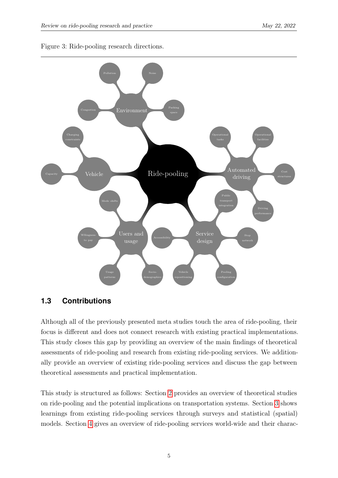

<span id="page-6-0"></span>

### **1.3 Contributions**

Although all of the previously presented meta studies touch the area of ride-pooling, their focus is different and does not connect research with existing practical implementations. This study closes this gap by providing an overview of the main findings of theoretical assessments of ride-pooling and research from existing ride-pooling services. We additionally provide an overview of existing ride-pooling services and discuss the gap between theoretical assessments and practical implementation.

This study is structured as follows: Section [2](#page-7-0) provides an overview of theoretical studies on ride-pooling and the potential implications on transportation systems. Section [3](#page-11-0) shows learnings from existing ride-pooling services through surveys and statistical (spatial) models. Section [4](#page-14-0) gives an overview of ride-pooling services world-wide and their charac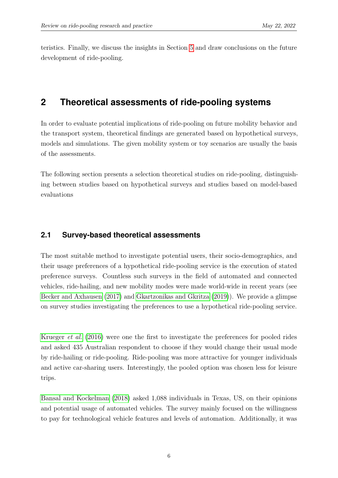<span id="page-7-0"></span>teristics. Finally, we discuss the insights in Section [5](#page-15-0) and draw conclusions on the future development of ride-pooling.

## **2 Theoretical assessments of ride-pooling systems**

In order to evaluate potential implications of ride-pooling on future mobility behavior and the transport system, theoretical findings are generated based on hypothetical surveys, models and simulations. The given mobility system or toy scenarios are usually the basis of the assessments.

<span id="page-7-1"></span>The following section presents a selection theoretical studies on ride-pooling, distinguishing between studies based on hypothetical surveys and studies based on model-based evaluations

#### **2.1 Survey-based theoretical assessments**

The most suitable method to investigate potential users, their socio-demographics, and their usage preferences of a hypothetical ride-pooling service is the execution of stated preference surveys. Countless such surveys in the field of automated and connected vehicles, ride-hailing, and new mobility modes were made world-wide in recent years (see [Becker and Axhausen](#page-17-2) [\(2017\)](#page-17-2) and [Gkartzonikas and Gkritza](#page-19-1) [\(2019\)](#page-19-1)). We provide a glimpse on survey studies investigating the preferences to use a hypothetical ride-pooling service.

[Krueger](#page-20-0) et al. [\(2016\)](#page-20-0) were one the first to investigate the preferences for pooled rides and asked 435 Australian respondent to choose if they would change their usual mode by ride-hailing or ride-pooling. Ride-pooling was more attractive for younger individuals and active car-sharing users. Interestingly, the pooled option was chosen less for leisure trips.

[Bansal and Kockelman](#page-17-3) [\(2018\)](#page-17-3) asked 1,088 individuals in Texas, US, on their opinions and potential usage of automated vehicles. The survey mainly focused on the willingness to pay for technological vehicle features and levels of automation. Additionally, it was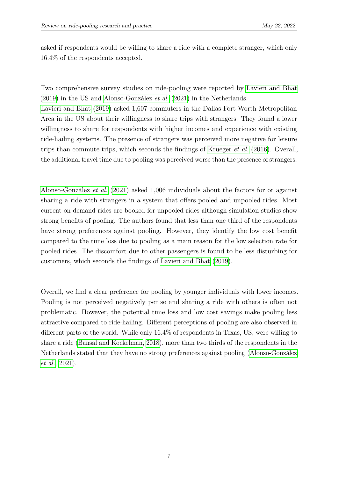asked if respondents would be willing to share a ride with a complete stranger, which only 16.4% of the respondents accepted.

Two comprehensive survey studies on ride-pooling were reported by [Lavieri and Bhat](#page-20-1) [\(2019\)](#page-20-1) in the US and [Alonso-González](#page-17-4) et al. [\(2021\)](#page-17-4) in the Netherlands.

[Lavieri and Bhat](#page-20-1) [\(2019\)](#page-20-1) asked 1,607 commuters in the Dallas-Fort-Worth Metropolitan Area in the US about their willingness to share trips with strangers. They found a lower willingness to share for respondents with higher incomes and experience with existing ride-hailing systems. The presence of strangers was perceived more negative for leisure trips than commute trips, which seconds the findings of [Krueger](#page-20-0) et al. [\(2016\)](#page-20-0). Overall, the additional travel time due to pooling was perceived worse than the presence of strangers.

[Alonso-González](#page-17-4) et al. [\(2021\)](#page-17-4) asked 1,006 individuals about the factors for or against sharing a ride with strangers in a system that offers pooled and unpooled rides. Most current on-demand rides are booked for unpooled rides although simulation studies show strong benefits of pooling. The authors found that less than one third of the respondents have strong preferences against pooling. However, they identify the low cost benefit compared to the time loss due to pooling as a main reason for the low selection rate for pooled rides. The discomfort due to other passengers is found to be less disturbing for customers, which seconds the findings of [Lavieri and Bhat](#page-20-1) [\(2019\)](#page-20-1).

Overall, we find a clear preference for pooling by younger individuals with lower incomes. Pooling is not perceived negatively per se and sharing a ride with others is often not problematic. However, the potential time loss and low cost savings make pooling less attractive compared to ride-hailing. Different perceptions of pooling are also observed in different parts of the world. While only 16.4% of respondents in Texas, US, were willing to share a ride [\(Bansal and Kockelman, 2018\)](#page-17-3), more than two thirds of the respondents in the Netherlands stated that they have no strong preferences against pooling [\(Alonso-González](#page-17-4) [et al.](#page-17-4), [2021\)](#page-17-4).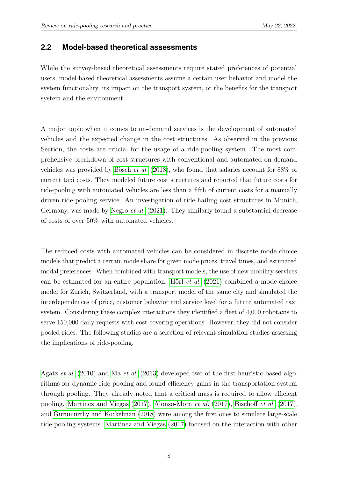#### **2.2 Model-based theoretical assessments**

While the survey-based theoretical assessments require stated preferences of potential users, model-based theoretical assessments assume a certain user behavior and model the system functionality, its impact on the transport system, or the benefits for the transport system and the environment.

A major topic when it comes to on-demand services is the development of automated vehicles and the expected change in the cost structures. As observed in the previous Section, the costs are crucial for the usage of a ride-pooling system. The most comprehensive breakdown of cost structures with conventional and automated on-demand vehicles was provided by [Bösch](#page-17-5) et al. [\(2018\)](#page-17-5), who found that salaries account for 88% of current taxi costs. They modeled future cost structures and reported that future costs for ride-pooling with automated vehicles are less than a fifth of current costs for a manually driven ride-pooling service. An investigation of ride-hailing cost structures in Munich, Germany, was made by [Negro](#page-21-3) et al. [\(2021\)](#page-21-3). They similarly found a substantial decrease of costs of over 50% with automated vehicles.

The reduced costs with automated vehicles can be considered in discrete mode choice models that predict a certain mode share for given mode prices, travel times, and estimated modal preferences. When combined with transport models, the use of new mobility services can be estimated for an entire population. Hörl [et al.](#page-19-3) [\(2021\)](#page-19-3) combined a mode-choice model for Zurich, Switzerland, with a transport model of the same city and simulated the interdependences of price, customer behavior and service level for a future automated taxi system. Considering these complex interactions they identified a fleet of 4,000 robotaxis to serve 150,000 daily requests with cost-covering operations. However, they did not consider pooled rides. The following studies are a selection of relevant simulation studies assessing the implications of ride-pooling.

[Agatz](#page-17-6) et al. [\(2010\)](#page-17-6) and Ma [et al.](#page-20-2) [\(2013\)](#page-20-2) developed two of the first heuristic-based algorithms for dynamic ride-pooling and found efficiency gains in the transportation system through pooling. They already noted that a critical mass is required to allow efficient pooling. [Martinez and Viegas](#page-20-3) [\(2017\)](#page-20-3), [Alonso-Mora](#page-17-7) et al. [\(2017\)](#page-17-7), [Bischoff](#page-17-8) et al. [\(2017\)](#page-17-8), and [Gurumurthy and Kockelman](#page-19-4) [\(2018\)](#page-19-4) were among the first ones to simulate large-scale ride-pooling systems. [Martinez and Viegas](#page-20-3) [\(2017\)](#page-20-3) focused on the interaction with other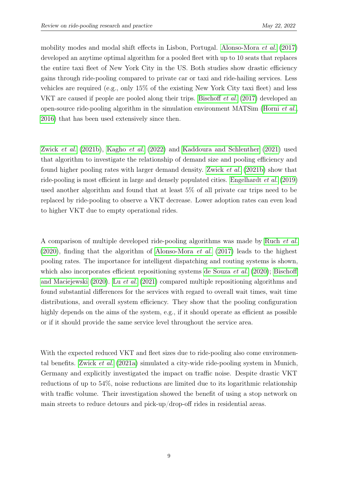mobility modes and modal shift effects in Lisbon, Portugal. [Alonso-Mora](#page-17-7) et al. [\(2017\)](#page-17-7) developed an anytime optimal algorithm for a pooled fleet with up to 10 seats that replaces the entire taxi fleet of New York City in the US. Both studies show drastic efficiency gains through ride-pooling compared to private car or taxi and ride-hailing services. Less vehicles are required (e.g., only 15% of the existing New York City taxi fleet) and less VKT are caused if people are pooled along their trips. [Bischoff](#page-17-8) et al. [\(2017\)](#page-17-8) developed an open-source ride-pooling algorithm in the simulation environment MATSim [\(Horni](#page-19-5) et al., [2016\)](#page-19-5) that has been used extensively since then.

[Zwick](#page-23-0) et al. [\(2021b\)](#page-23-0), [Kagho](#page-19-6) et al. [\(2022\)](#page-19-6) and [Kaddoura and Schlenther](#page-19-7) [\(2021\)](#page-19-7) used that algorithm to investigate the relationship of demand size and pooling efficiency and found higher pooling rates with larger demand density. [Zwick](#page-23-0) et al. [\(2021b\)](#page-23-0) show that ride-pooling is most efficient in large and densely populated cities. [Engelhardt](#page-18-2) et al. [\(2019\)](#page-18-2) used another algorithm and found that at least 5% of all private car trips need to be replaced by ride-pooling to observe a VKT decrease. Lower adoption rates can even lead to higher VKT due to empty operational rides.

A comparison of multiple developed ride-pooling algorithms was made by [Ruch](#page-22-4) et al. [\(2020\)](#page-22-4), finding that the algorithm of [Alonso-Mora](#page-17-7) et al. [\(2017\)](#page-17-7) leads to the highest pooling rates. The importance for intelligent dispatching and routing systems is shown, which also incorporates efficient repositioning systems [de Souza](#page-18-3) *et al.* [\(2020\)](#page-18-3); [Bischoff](#page-17-9) [and Maciejewski](#page-17-9) [\(2020\)](#page-17-9). Lu [et al.](#page-20-4) [\(2021\)](#page-20-4) compared multiple repositioning algorithms and found substantial differences for the services with regard to overall wait times, wait time distributions, and overall system efficiency. They show that the pooling configuration highly depends on the aims of the system, e.g., if it should operate as efficient as possible or if it should provide the same service level throughout the service area.

With the expected reduced VKT and fleet sizes due to ride-pooling also come environmental benefits. [Zwick](#page-22-5) et al. [\(2021a\)](#page-22-5) simulated a city-wide ride-pooling system in Munich, Germany and explicitly investigated the impact on traffic noise. Despite drastic VKT reductions of up to 54%, noise reductions are limited due to its logarithmic relationship with traffic volume. Their investigation showed the benefit of using a stop network on main streets to reduce detours and pick-up/drop-off rides in residential areas.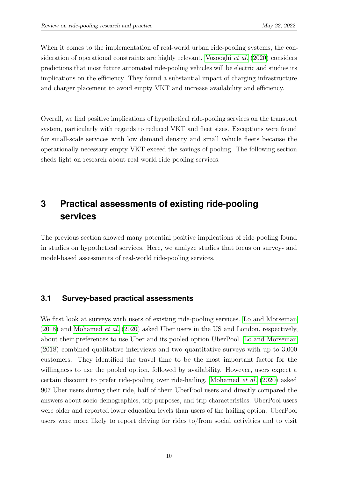When it comes to the implementation of real-world urban ride-pooling systems, the consideration of operational constraints are highly relevant. [Vosooghi](#page-22-6) et al. [\(2020\)](#page-22-6) considers predictions that most future automated ride-pooling vehicles will be electric and studies its implications on the efficiency. They found a substantial impact of charging infrastructure and charger placement to avoid empty VKT and increase availability and efficiency.

Overall, we find positive implications of hypothetical ride-pooling services on the transport system, particularly with regards to reduced VKT and fleet sizes. Exceptions were found for small-scale services with low demand density and small vehicle fleets because the operationally necessary empty VKT exceed the savings of pooling. The following section sheds light on research about real-world ride-pooling services.

# <span id="page-11-0"></span>**3 Practical assessments of existing ride-pooling services**

The previous section showed many potential positive implications of ride-pooling found in studies on hypothetical services. Here, we analyze studies that focus on survey- and model-based assessments of real-world ride-pooling services.

#### **3.1 Survey-based practical assessments**

We first look at surveys with users of existing ride-pooling services. [Lo and Morseman](#page-20-5)  $(2018)$  and [Mohamed](#page-21-4) *et al.*  $(2020)$  asked Uber users in the US and London, respectively, about their preferences to use Uber and its pooled option UberPool. [Lo and Morseman](#page-20-5) [\(2018\)](#page-20-5) combined qualitative interviews and two quantitative surveys with up to 3,000 customers. They identified the travel time to be the most important factor for the willingness to use the pooled option, followed by availability. However, users expect a certain discount to prefer ride-pooling over ride-hailing. [Mohamed](#page-21-4) et al. [\(2020\)](#page-21-4) asked 907 Uber users during their ride, half of them UberPool users and directly compared the answers about socio-demographics, trip purposes, and trip characteristics. UberPool users were older and reported lower education levels than users of the hailing option. UberPool users were more likely to report driving for rides to/from social activities and to visit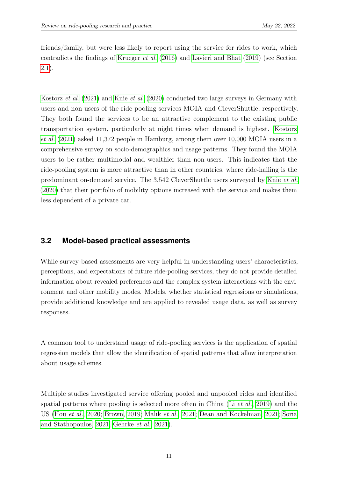friends/family, but were less likely to report using the service for rides to work, which contradicts the findings of [Krueger](#page-20-0) et al. [\(2016\)](#page-20-0) and [Lavieri and Bhat](#page-20-1) [\(2019\)](#page-20-1) (see Section [2.1\)](#page-7-1).

[Kostorz](#page-20-6) et al. [\(2021\)](#page-20-6) and Knie [et al.](#page-20-7) [\(2020\)](#page-20-7) conducted two large surveys in Germany with users and non-users of the ride-pooling services MOIA and CleverShuttle, respectively. They both found the services to be an attractive complement to the existing public transportation system, particularly at night times when demand is highest. [Kostorz](#page-20-6) [et al.](#page-20-6) [\(2021\)](#page-20-6) asked 11,372 people in Hamburg, among them over 10,000 MOIA users in a comprehensive survey on socio-demographics and usage patterns. They found the MOIA users to be rather multimodal and wealthier than non-users. This indicates that the ride-pooling system is more attractive than in other countries, where ride-hailing is the predominant on-demand service. The 3,542 CleverShuttle users surveyed by Knie [et al.](#page-20-7) [\(2020\)](#page-20-7) that their portfolio of mobility options increased with the service and makes them less dependent of a private car.

#### **3.2 Model-based practical assessments**

While survey-based assessments are very helpful in understanding users' characteristics, perceptions, and expectations of future ride-pooling services, they do not provide detailed information about revealed preferences and the complex system interactions with the environment and other mobility modes. Models, whether statistical regressions or simulations, provide additional knowledge and are applied to revealed usage data, as well as survey responses.

A common tool to understand usage of ride-pooling services is the application of spatial regression models that allow the identification of spatial patterns that allow interpretation about usage schemes.

Multiple studies investigated service offering pooled and unpooled rides and identified spatial patterns where pooling is selected more often in China (Li [et al.](#page-20-8), [2019\)](#page-20-8) and the US (Hou [et al.](#page-19-8), [2020;](#page-19-8) [Brown, 2019;](#page-17-10) [Malik](#page-20-9) et al., [2021;](#page-20-9) [Dean and Kockelman, 2021;](#page-18-4) [Soria](#page-22-7) [and Stathopoulos, 2021;](#page-22-7) [Gehrke](#page-18-5) et al., [2021\)](#page-18-5).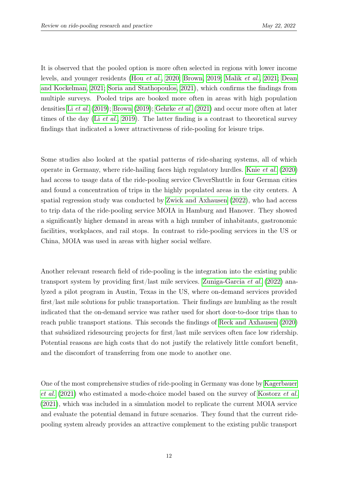It is observed that the pooled option is more often selected in regions with lower income levels, and younger residents (Hou [et al.](#page-19-8), [2020;](#page-19-8) [Brown, 2019;](#page-17-10) [Malik](#page-20-9) et al., [2021;](#page-20-9) [Dean](#page-18-4) [and Kockelman, 2021;](#page-18-4) [Soria and Stathopoulos, 2021\)](#page-22-7), which confirms the findings from multiple surveys. Pooled trips are booked more often in areas with high population densities Li [et al.](#page-20-8) [\(2019\)](#page-20-8); [Brown](#page-17-10) [\(2019\)](#page-17-10); [Gehrke](#page-18-5) et al. [\(2021\)](#page-18-5) and occur more often at later times of the day (Li *[et al.](#page-20-8)*, [2019\)](#page-20-8). The latter finding is a contrast to theoretical survey findings that indicated a lower attractiveness of ride-pooling for leisure trips.

Some studies also looked at the spatial patterns of ride-sharing systems, all of which operate in Germany, where ride-hailing faces high regulatory hurdles. Knie [et al.](#page-20-7) [\(2020\)](#page-20-7) had access to usage data of the ride-pooling service CleverShuttle in four German cities and found a concentration of trips in the highly populated areas in the city centers. A spatial regression study was conducted by [Zwick and Axhausen](#page-22-8) [\(2022\)](#page-22-8), who had access to trip data of the ride-pooling service MOIA in Hamburg and Hanover. They showed a significantly higher demand in areas with a high number of inhabitants, gastronomic facilities, workplaces, and rail stops. In contrast to ride-pooling services in the US or China, MOIA was used in areas with higher social welfare.

Another relevant research field of ride-pooling is the integration into the existing public transport system by providing first/last mile services. [Zuniga-Garcia](#page-22-9) et al. [\(2022\)](#page-22-9) analyzed a pilot program in Austin, Texas in the US, where on-demand services provided first/last mile solutions for public transportation. Their findings are humbling as the result indicated that the on-demand service was rather used for short door-to-door trips than to reach public transport stations. This seconds the findings of [Reck and Axhausen](#page-21-5) [\(2020\)](#page-21-5) that subsidized ridesourcing projects for first/last mile services often face low ridership. Potential reasons are high costs that do not justify the relatively little comfort benefit, and the discomfort of transferring from one mode to another one.

One of the most comprehensive studies of ride-pooling in Germany was done by [Kagerbauer](#page-19-9) [et al.](#page-19-9) [\(2021\)](#page-19-9) who estimated a mode-choice model based on the survey of [Kostorz](#page-20-6) et al. [\(2021\)](#page-20-6), which was included in a simulation model to replicate the current MOIA service and evaluate the potential demand in future scenarios. They found that the current ridepooling system already provides an attractive complement to the existing public transport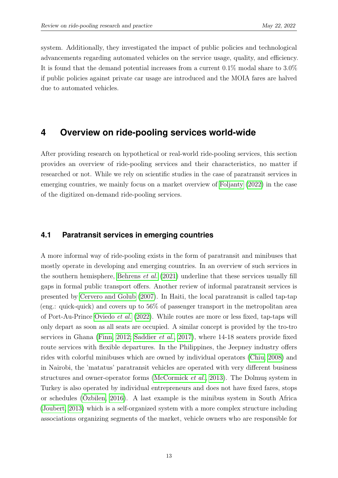system. Additionally, they investigated the impact of public policies and technological advancements regarding automated vehicles on the service usage, quality, and efficiency. It is found that the demand potential increases from a current 0.1% modal share to 3.0% if public policies against private car usage are introduced and the MOIA fares are halved due to automated vehicles.

### <span id="page-14-0"></span>**4 Overview on ride-pooling services world-wide**

After providing research on hypothetical or real-world ride-pooling services, this section provides an overview of ride-pooling services and their characteristics, no matter if researched or not. While we rely on scientific studies in the case of paratransit services in emerging countries, we mainly focus on a market overview of [Foljanty](#page-18-6) [\(2022\)](#page-18-6) in the case of the digitized on-demand ride-pooling services.

#### **4.1 Paratransit services in emerging countries**

A more informal way of ride-pooling exists in the form of paratransit and minibuses that mostly operate in developing and emerging countries. In an overview of such services in the southern hemisphere, [Behrens](#page-17-11) et al. [\(2021\)](#page-17-11) underline that these services usually fill gaps in formal public transport offers. Another review of informal paratransit services is presented by [Cervero and Golub](#page-18-7) [\(2007\)](#page-18-7). In Haiti, the local paratransit is called tap-tap (eng.: quick-quick) and covers up to 56% of passenger transport in the metropolitan area of Port-Au-Prince [Oviedo](#page-21-6) et al. [\(2022\)](#page-21-6). While routes are more or less fixed, tap-taps will only depart as soon as all seats are occupied. A similar concept is provided by the tro-tro services in Ghana [\(Finn, 2012;](#page-18-8) [Saddier](#page-22-10) et al., [2017\)](#page-22-10), where 14-18 seaters provide fixed route services with flexible departures. In the Philippines, the Jeepney industry offers rides with colorful minibuses which are owned by individual operators [\(Chiu, 2008\)](#page-18-9) and in Nairobi, the 'matatus' paratransit vehicles are operated with very different business structures and owner-operator forms [\(McCormick](#page-21-7) et al., [2013\)](#page-21-7). The Dolmuş system in Turkey is also operated by individual entrepreneurs and does not have fixed fares, stops or schedules [\(Özbilen, 2016\)](#page-21-8). A last example is the minibus system in South Africa [\(Joubert, 2013\)](#page-19-10) which is a self-organized system with a more complex structure including associations organizing segments of the market, vehicle owners who are responsible for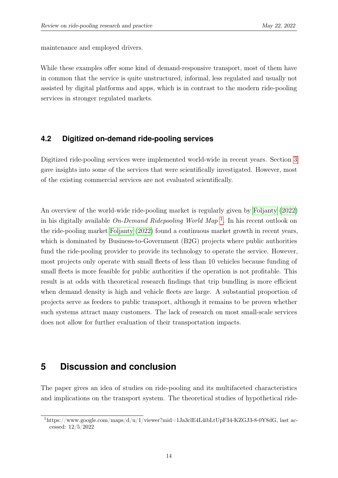maintenance and employed drivers.

While these examples offer some kind of demand-responsive transport, most of them have in common that the service is quite unstructured, informal, less regulated and usually not assisted by digital platforms and apps, which is in contrast to the modern ride-pooling services in stronger regulated markets.

#### **4.2 Digitized on-demand ride-pooling services**

Digitized ride-pooling services were implemented world-wide in recent years. Section [3](#page-11-0) gave insights into some of the services that were scientifically investigated. However, most of the existing commercial services are not evaluated scientifically.

An overview of the world-wide ride-pooling market is regularly given by [Foljanty](#page-18-6) [\(2022\)](#page-18-6) in his digitally available *On-Demand Ridepooling World Map*<sup>[1](#page-15-1)</sup>. In his recent outlook on the ride-pooling market [Foljanty](#page-18-6) [\(2022\)](#page-18-6) found a continuous market growth in recent years, which is dominated by Business-to-Government (B2G) projects where public authorities fund the ride-pooling provider to provide its technology to operate the service. However, most projects only operate with small fleets of less than 10 vehicles because funding of small fleets is more feasible for public authorities if the operation is not profitable. This result is at odds with theoretical research findings that trip bundling is more efficient when demand density is high and vehicle fleets are large. A substantial proportion of projects serve as feeders to public transport, although it remains to be proven whether such systems attract many customers. The lack of research on most small-scale services does not allow for further evaluation of their transportation impacts.

### <span id="page-15-0"></span>**5 Discussion and conclusion**

The paper gives an idea of studies on ride-pooling and its multifaceted characteristics and implications on the transport system. The theoretical studies of hypothetical ride-

<span id="page-15-1"></span> $1$ https://www.google.com/maps/d/u/1/viewer?mid=1Ja3clE4L4ibLtUpF34-KZGJ3-8-0Y8dG, last accessed: 12/5/2022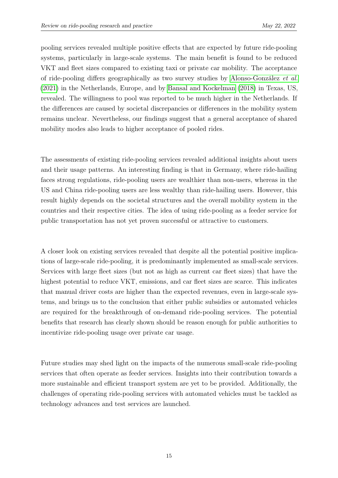pooling services revealed multiple positive effects that are expected by future ride-pooling systems, particularly in large-scale systems. The main benefit is found to be reduced VKT and fleet sizes compared to existing taxi or private car mobility. The acceptance of ride-pooling differs geographically as two survey studies by [Alonso-González](#page-17-4) et al. [\(2021\)](#page-17-4) in the Netherlands, Europe, and by [Bansal and Kockelman](#page-17-3) [\(2018\)](#page-17-3) in Texas, US, revealed. The willingness to pool was reported to be much higher in the Netherlands. If the differences are caused by societal discrepancies or differences in the mobility system remains unclear. Nevertheless, our findings suggest that a general acceptance of shared mobility modes also leads to higher acceptance of pooled rides.

The assessments of existing ride-pooling services revealed additional insights about users and their usage patterns. An interesting finding is that in Germany, where ride-hailing faces strong regulations, ride-pooling users are wealthier than non-users, whereas in the US and China ride-pooling users are less wealthy than ride-hailing users. However, this result highly depends on the societal structures and the overall mobility system in the countries and their respective cities. The idea of using ride-pooling as a feeder service for public transportation has not yet proven successful or attractive to customers.

A closer look on existing services revealed that despite all the potential positive implications of large-scale ride-pooling, it is predominantly implemented as small-scale services. Services with large fleet sizes (but not as high as current car fleet sizes) that have the highest potential to reduce VKT, emissions, and car fleet sizes are scarce. This indicates that manual driver costs are higher than the expected revenues, even in large-scale systems, and brings us to the conclusion that either public subsidies or automated vehicles are required for the breakthrough of on-demand ride-pooling services. The potential benefits that research has clearly shown should be reason enough for public authorities to incentivize ride-pooling usage over private car usage.

Future studies may shed light on the impacts of the numerous small-scale ride-pooling services that often operate as feeder services. Insights into their contribution towards a more sustainable and efficient transport system are yet to be provided. Additionally, the challenges of operating ride-pooling services with automated vehicles must be tackled as technology advances and test services are launched.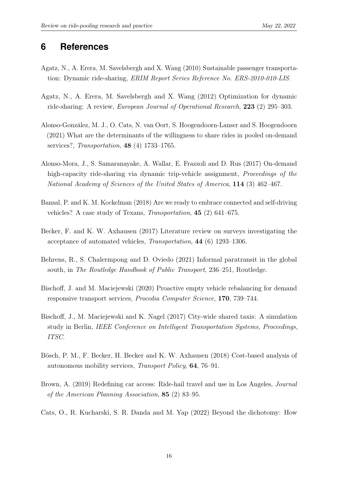### **6 References**

- <span id="page-17-6"></span>Agatz, N., A. Erera, M. Savelsbergh and X. Wang (2010) Sustainable passenger transportation: Dynamic ride-sharing, ERIM Report Series Reference No. ERS-2010-010-LIS.
- <span id="page-17-1"></span>Agatz, N., A. Erera, M. Savelsbergh and X. Wang (2012) Optimization for dynamic ride-sharing: A review, European Journal of Operational Research, 223 (2) 295–303.
- <span id="page-17-4"></span>Alonso-González, M. J., O. Cats, N. van Oort, S. Hoogendoorn-Lanser and S. Hoogendoorn (2021) What are the determinants of the willingness to share rides in pooled on-demand services?, Transportation, 48 (4) 1733–1765.
- <span id="page-17-7"></span>Alonso-Mora, J., S. Samaranayake, A. Wallar, E. Frazzoli and D. Rus (2017) On-demand high-capacity ride-sharing via dynamic trip-vehicle assignment, *Proceedings of the* National Academy of Sciences of the United States of America, 114 (3) 462–467.
- <span id="page-17-3"></span>Bansal, P. and K. M. Kockelman (2018) Are we ready to embrace connected and self-driving vehicles? A case study of Texans, Transportation, 45 (2) 641–675.
- <span id="page-17-2"></span>Becker, F. and K. W. Axhausen (2017) Literature review on surveys investigating the acceptance of automated vehicles, Transportation, 44 (6) 1293–1306.
- <span id="page-17-11"></span>Behrens, R., S. Chalermpong and D. Oviedo (2021) Informal paratransit in the global south, in The Routledge Handbook of Public Transport, 236–251, Routledge.
- <span id="page-17-9"></span>Bischoff, J. and M. Maciejewski (2020) Proactive empty vehicle rebalancing for demand responsive transport services, Procedia Computer Science, 170, 739–744.
- <span id="page-17-8"></span>Bischoff, J., M. Maciejewski and K. Nagel (2017) City-wide shared taxis: A simulation study in Berlin, IEEE Conference on Intelligent Transportation Systems, Proceedings, ITSC.
- <span id="page-17-5"></span>Bösch, P. M., F. Becker, H. Becker and K. W. Axhausen (2018) Cost-based analysis of autonomous mobility services, Transport Policy, 64, 76–91.
- <span id="page-17-10"></span>Brown, A. (2019) Redefining car access: Ride-hail travel and use in Los Angeles, Journal of the American Planning Association, 85 (2) 83–95.
- <span id="page-17-0"></span>Cats, O., R. Kucharski, S. R. Danda and M. Yap (2022) Beyond the dichotomy: How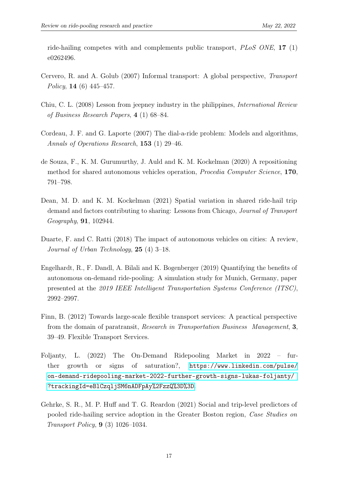ride-hailing competes with and complements public transport,  $PLoS$  ONE, 17 (1) e0262496.

- <span id="page-18-7"></span>Cervero, R. and A. Golub (2007) Informal transport: A global perspective, Transport Policy, 14 (6)  $445-457$ .
- <span id="page-18-9"></span>Chiu, C. L. (2008) Lesson from jeepney industry in the philippines, International Review of Business Research Papers, 4 (1) 68–84.
- <span id="page-18-0"></span>Cordeau, J. F. and G. Laporte (2007) The dial-a-ride problem: Models and algorithms, Annals of Operations Research, 153 (1) 29–46.
- <span id="page-18-3"></span>de Souza, F., K. M. Gurumurthy, J. Auld and K. M. Kockelman (2020) A repositioning method for shared autonomous vehicles operation, Procedia Computer Science, 170, 791–798.
- <span id="page-18-4"></span>Dean, M. D. and K. M. Kockelman (2021) Spatial variation in shared ride-hail trip demand and factors contributing to sharing: Lessons from Chicago, Journal of Transport Geography, 91, 102944.
- <span id="page-18-1"></span>Duarte, F. and C. Ratti (2018) The impact of autonomous vehicles on cities: A review, Journal of Urban Technology, 25 (4) 3–18.
- <span id="page-18-2"></span>Engelhardt, R., F. Dandl, A. Bilali and K. Bogenberger (2019) Quantifying the benefits of autonomous on-demand ride-pooling: A simulation study for Munich, Germany, paper presented at the 2019 IEEE Intelligent Transportation Systems Conference (ITSC), 2992–2997.
- <span id="page-18-8"></span>Finn, B. (2012) Towards large-scale flexible transport services: A practical perspective from the domain of paratransit, Research in Transportation Business Management, 3, 39–49. Flexible Transport Services.
- <span id="page-18-6"></span>Foljanty, L. (2022) The On-Demand Ridepooling Market in 2022 – further growth or signs of saturation?, [https://www.linkedin.com/pulse/](https://www.linkedin.com/pulse/on-demand-ridepooling-market-2022-further-growth-signs-lukas-foljanty/?trackingId=eBlCzqljSM6nADFpAy%2FzzQ%3D%3D) [on-demand-ridepooling-market-2022-further-growth-signs-lukas-foljanty/](https://www.linkedin.com/pulse/on-demand-ridepooling-market-2022-further-growth-signs-lukas-foljanty/?trackingId=eBlCzqljSM6nADFpAy%2FzzQ%3D%3D) [?trackingId=eBlCzqljSM6nADFpAy%2FzzQ%3D%3D](https://www.linkedin.com/pulse/on-demand-ridepooling-market-2022-further-growth-signs-lukas-foljanty/?trackingId=eBlCzqljSM6nADFpAy%2FzzQ%3D%3D).
- <span id="page-18-5"></span>Gehrke, S. R., M. P. Huff and T. G. Reardon (2021) Social and trip-level predictors of pooled ride-hailing service adoption in the Greater Boston region, Case Studies on Transport Policy, 9 (3) 1026–1034.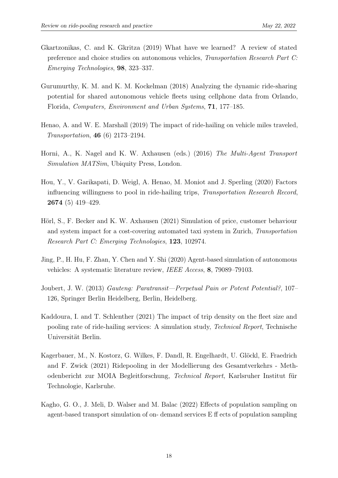- <span id="page-19-1"></span>Gkartzonikas, C. and K. Gkritza (2019) What have we learned? A review of stated preference and choice studies on autonomous vehicles, Transportation Research Part C: Emerging Technologies, 98, 323–337.
- <span id="page-19-4"></span>Gurumurthy, K. M. and K. M. Kockelman (2018) Analyzing the dynamic ride-sharing potential for shared autonomous vehicle fleets using cellphone data from Orlando, Florida, Computers, Environment and Urban Systems, 71, 177–185.
- <span id="page-19-0"></span>Henao, A. and W. E. Marshall (2019) The impact of ride-hailing on vehicle miles traveled, Transportation, 46 (6) 2173–2194.
- <span id="page-19-5"></span>Horni, A., K. Nagel and K. W. Axhausen (eds.) (2016) The Multi-Agent Transport Simulation MATSim, Ubiquity Press, London.
- <span id="page-19-8"></span>Hou, Y., V. Garikapati, D. Weigl, A. Henao, M. Moniot and J. Sperling (2020) Factors influencing willingness to pool in ride-hailing trips, Transportation Research Record, 2674 (5) 419–429.
- <span id="page-19-3"></span>Hörl, S., F. Becker and K. W. Axhausen (2021) Simulation of price, customer behaviour and system impact for a cost-covering automated taxi system in Zurich, Transportation Research Part C: Emerging Technologies, 123, 102974.
- <span id="page-19-2"></span>Jing, P., H. Hu, F. Zhan, Y. Chen and Y. Shi (2020) Agent-based simulation of autonomous vehicles: A systematic literature review, IEEE Access, 8, 79089–79103.
- <span id="page-19-10"></span>Joubert, J. W. (2013) Gauteng: Paratransit—Perpetual Pain or Potent Potential?, 107– 126, Springer Berlin Heidelberg, Berlin, Heidelberg.
- <span id="page-19-7"></span>Kaddoura, I. and T. Schlenther (2021) The impact of trip density on the fleet size and pooling rate of ride-hailing services: A simulation study, Technical Report, Technische Universität Berlin.
- <span id="page-19-9"></span>Kagerbauer, M., N. Kostorz, G. Wilkes, F. Dandl, R. Engelhardt, U. Glöckl, E. Fraedrich and F. Zwick (2021) Ridepooling in der Modellierung des Gesamtverkehrs - Methodenbericht zur MOIA Begleitforschung, Technical Report, Karlsruher Institut für Technologie, Karlsruhe.
- <span id="page-19-6"></span>Kagho, G. O., J. Meli, D. Walser and M. Balac (2022) Effects of population sampling on agent-based transport simulation of on- demand services E ff ects of population sampling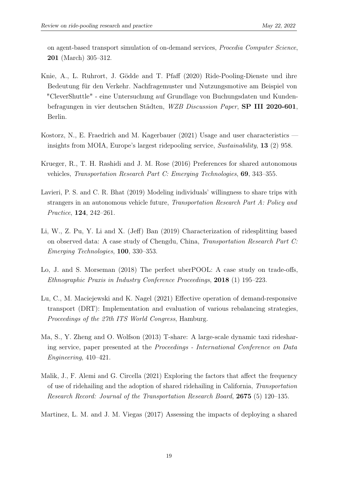on agent-based transport simulation of on-demand services, Procedia Computer Science, 201 (March) 305–312.

- <span id="page-20-7"></span>Knie, A., L. Ruhrort, J. Gödde and T. Pfaff (2020) Ride-Pooling-Dienste und ihre Bedeutung für den Verkehr. Nachfragemuster und Nutzungsmotive am Beispiel von "CleverShuttle" - eine Untersuchung auf Grundlage von Buchungsdaten und Kundenbefragungen in vier deutschen Städten, WZB Discussion Paper, SP III 2020-601, Berlin.
- <span id="page-20-6"></span>Kostorz, N., E. Fraedrich and M. Kagerbauer (2021) Usage and user characteristics insights from MOIA, Europe's largest ridepooling service, Sustainability, 13 (2) 958.
- <span id="page-20-0"></span>Krueger, R., T. H. Rashidi and J. M. Rose (2016) Preferences for shared autonomous vehicles, Transportation Research Part C: Emerging Technologies, 69, 343–355.
- <span id="page-20-1"></span>Lavieri, P. S. and C. R. Bhat (2019) Modeling individuals' willingness to share trips with strangers in an autonomous vehicle future, Transportation Research Part A: Policy and Practice, 124, 242–261.
- <span id="page-20-8"></span>Li, W., Z. Pu, Y. Li and X. (Jeff) Ban (2019) Characterization of ridesplitting based on observed data: A case study of Chengdu, China, Transportation Research Part C: Emerging Technologies, 100, 330–353.
- <span id="page-20-5"></span>Lo, J. and S. Morseman (2018) The perfect uberPOOL: A case study on trade-offs, Ethnographic Praxis in Industry Conference Proceedings, 2018 (1) 195–223.
- <span id="page-20-4"></span>Lu, C., M. Maciejewski and K. Nagel (2021) Effective operation of demand-responsive transport (DRT): Implementation and evaluation of various rebalancing strategies, Proceedings of the 27th ITS World Congress, Hamburg.
- <span id="page-20-2"></span>Ma, S., Y. Zheng and O. Wolfson (2013) T-share: A large-scale dynamic taxi ridesharing service, paper presented at the Proceedings - International Conference on Data Engineering, 410–421.
- <span id="page-20-9"></span>Malik, J., F. Alemi and G. Circella (2021) Exploring the factors that affect the frequency of use of ridehailing and the adoption of shared ridehailing in California, Transportation Research Record: Journal of the Transportation Research Board, 2675 (5) 120–135.

<span id="page-20-3"></span>Martinez, L. M. and J. M. Viegas (2017) Assessing the impacts of deploying a shared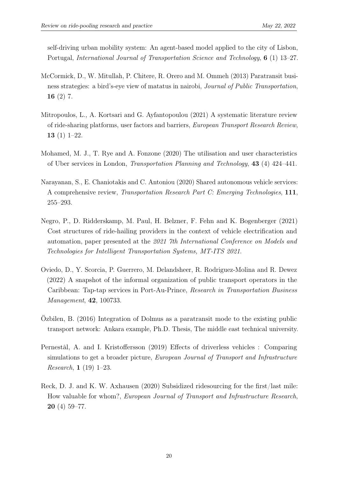self-driving urban mobility system: An agent-based model applied to the city of Lisbon, Portugal, International Journal of Transportation Science and Technology, 6 (1) 13–27.

- <span id="page-21-7"></span>McCormick, D., W. Mitullah, P. Chitere, R. Orero and M. Ommeh (2013) Paratransit business strategies: a bird's-eye view of matatus in nairobi, Journal of Public Transportation, 16 $(2)$  7.
- <span id="page-21-0"></span>Mitropoulos, L., A. Kortsari and G. Ayfantopoulou (2021) A systematic literature review of ride-sharing platforms, user factors and barriers, European Transport Research Review, 13 $(1)$  1–22.
- <span id="page-21-4"></span>Mohamed, M. J., T. Rye and A. Fonzone (2020) The utilisation and user characteristics of Uber services in London, Transportation Planning and Technology, 43 (4) 424–441.
- <span id="page-21-1"></span>Narayanan, S., E. Chaniotakis and C. Antoniou (2020) Shared autonomous vehicle services: A comprehensive review, Transportation Research Part C: Emerging Technologies, 111, 255–293.
- <span id="page-21-3"></span>Negro, P., D. Ridderskamp, M. Paul, H. Belzner, F. Fehn and K. Bogenberger (2021) Cost structures of ride-hailing providers in the context of vehicle electrification and automation, paper presented at the 2021 7th International Conference on Models and Technologies for Intelligent Transportation Systems, MT-ITS 2021.
- <span id="page-21-6"></span>Oviedo, D., Y. Scorcia, P. Guerrero, M. Delandsheer, R. Rodriguez-Molina and R. Dewez (2022) A snapshot of the informal organization of public transport operators in the Caribbean: Tap-tap services in Port-Au-Prince, Research in Transportation Business Management, 42, 100733.
- <span id="page-21-8"></span>Özbilen, B. (2016) Integration of Dolmus as a paratransit mode to the existing public transport network: Ankara example, Ph.D. Thesis, The middle east technical university.
- <span id="page-21-2"></span>Pernestål, A. and I. Kristoffersson (2019) Effects of driverless vehicles : Comparing simulations to get a broader picture, European Journal of Transport and Infrastructure Research, 1 (19) 1–23.
- <span id="page-21-5"></span>Reck, D. J. and K. W. Axhausen (2020) Subsidized ridesourcing for the first/last mile: How valuable for whom?, European Journal of Transport and Infrastructure Research, 20 (4) 59–77.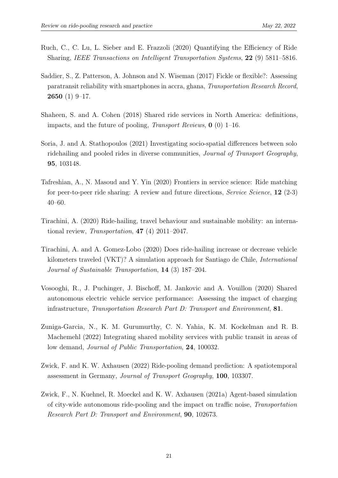- <span id="page-22-4"></span>Ruch, C., C. Lu, L. Sieber and E. Frazzoli (2020) Quantifying the Efficiency of Ride Sharing, IEEE Transactions on Intelligent Transportation Systems, 22 (9) 5811–5816.
- <span id="page-22-10"></span>Saddier, S., Z. Patterson, A. Johnson and N. Wiseman (2017) Fickle or flexible?: Assessing paratransit reliability with smartphones in accra, ghana, Transportation Research Record, 2650 (1) 9–17.
- <span id="page-22-3"></span>Shaheen, S. and A. Cohen (2018) Shared ride services in North America: definitions, impacts, and the future of pooling, *Transport Reviews*,  $\mathbf{0}$  (0) 1–16.
- <span id="page-22-7"></span>Soria, J. and A. Stathopoulos (2021) Investigating socio-spatial differences between solo ridehailing and pooled rides in diverse communities, Journal of Transport Geography, 95, 103148.
- <span id="page-22-2"></span>Tafreshian, A., N. Masoud and Y. Yin (2020) Frontiers in service science: Ride matching for peer-to-peer ride sharing: A review and future directions, Service Science, 12 (2-3) 40–60.
- <span id="page-22-0"></span>Tirachini, A. (2020) Ride-hailing, travel behaviour and sustainable mobility: an international review, Transportation, 47 (4) 2011–2047.
- <span id="page-22-1"></span>Tirachini, A. and A. Gomez-Lobo (2020) Does ride-hailing increase or decrease vehicle kilometers traveled (VKT)? A simulation approach for Santiago de Chile, International Journal of Sustainable Transportation, 14 (3) 187–204.
- <span id="page-22-6"></span>Vosooghi, R., J. Puchinger, J. Bischoff, M. Jankovic and A. Vouillon (2020) Shared autonomous electric vehicle service performance: Assessing the impact of charging infrastructure, Transportation Research Part D: Transport and Environment, 81.
- <span id="page-22-9"></span>Zuniga-Garcia, N., K. M. Gurumurthy, C. N. Yahia, K. M. Kockelman and R. B. Machemehl (2022) Integrating shared mobility services with public transit in areas of low demand, Journal of Public Transportation, 24, 100032.
- <span id="page-22-8"></span>Zwick, F. and K. W. Axhausen (2022) Ride-pooling demand prediction: A spatiotemporal assessment in Germany, Journal of Transport Geography, 100, 103307.
- <span id="page-22-5"></span>Zwick, F., N. Kuehnel, R. Moeckel and K. W. Axhausen (2021a) Agent-based simulation of city-wide autonomous ride-pooling and the impact on traffic noise, Transportation Research Part D: Transport and Environment, 90, 102673.